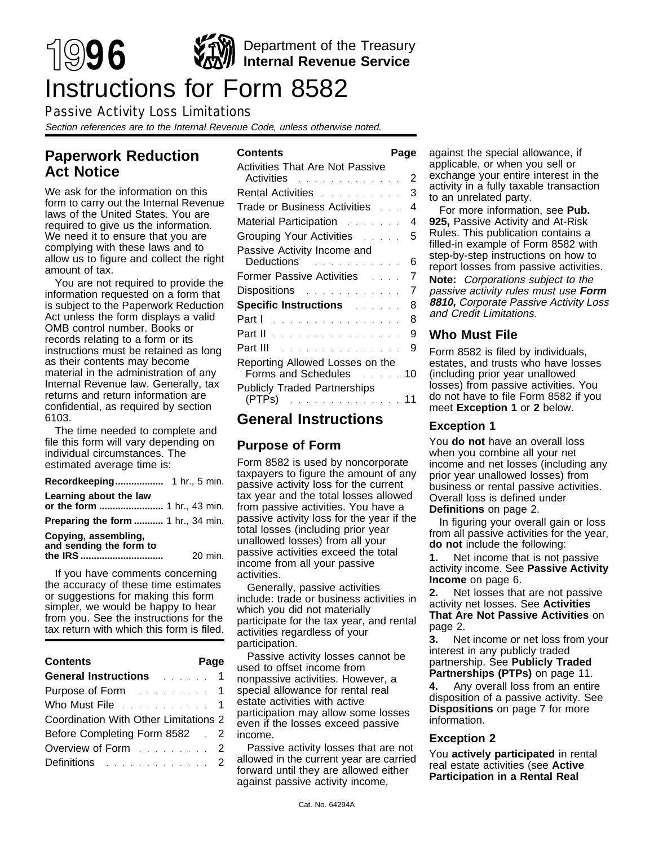

Passive Activity Loss Limitations

Section references are to the Internal Revenue Code, unless otherwise noted.

## **Paperwork Reduction Act Notice**

We ask for the information on this form to carry out the Internal Revenue laws of the United States. You are required to give us the information. We need it to ensure that you are complying with these laws and to allow us to figure and collect the right amount of tax.

You are not required to provide the information requested on a form that is subject to the Paperwork Reduction Act unless the form displays a valid OMB control number. Books or records relating to a form or its instructions must be retained as long as their contents may become material in the administration of any Internal Revenue law. Generally, tax returns and return information are confidential, as required by section 6103.

The time needed to complete and file this form will vary depending on individual circumstances. The estimated average time is:

| Recordkeeping 1 hr., 5 min.                                |         |
|------------------------------------------------------------|---------|
| Learning about the law<br>or the form  1 hr., 43 min.      |         |
| <b>Preparing the form </b> 1 hr., 34 min.                  |         |
| Copying, assembling,<br>and sending the form to<br>the IRS | 20 min. |

If you have comments concerning the accuracy of these time estimates or suggestions for making this form simpler, we would be happy to hear from you. See the instructions for the tax return with which this form is filed.

| <b>Contents</b>                                                 | Page |  |
|-----------------------------------------------------------------|------|--|
| General Instructions 11 11 11 12                                |      |  |
| Purpose of Form <b>Election 2. According to Purpose of Form</b> |      |  |
| Who Must File <b>Contract Contract on the UK and T</b>          |      |  |
| Coordination With Other Limitations 2                           |      |  |
| Before Completing Form 8582 2                                   |      |  |
| Overview of Form <b>Communication</b> 2                         |      |  |
| Definitions and a series of the series of 2                     |      |  |

| uunenis                                                             | raye |
|---------------------------------------------------------------------|------|
| Activities That Are Not Passive<br>Activities <b>Activities</b>     | 2    |
|                                                                     |      |
| Rental Activities <b>Activities Activities</b>                      | 3    |
| Trade or Business Activities [11].                                  | 4    |
| Material Participation <b>Material</b>                              | 4    |
| Grouping Your Activities Allenger                                   | 5    |
| Passive Activity Income and<br>Deductions and a substantial problem | 6    |
| Former Passive Activities [11]                                      | 7    |
| Dispositions <b>Contract Contract Dispositions</b>                  | 7    |
| <b>Specific Instructions Algebra</b>                                | 8    |
| Part 1                                                              | 8    |
| Part II                                                             | 9    |
| Part III                                                            | 9    |
| Reporting Allowed Losses on the<br>Forms and Schedules 1999.        |      |
| <b>Publicly Traded Partnerships</b><br>(PTPs) 11                    |      |

## **General Instructions**

## **Purpose of Form**

Form 8582 is used by noncorporate taxpayers to figure the amount of any passive activity loss for the current tax year and the total losses allowed from passive activities. You have a passive activity loss for the year if the total losses (including prior year unallowed losses) from all your passive activities exceed the total income from all your passive activities.

Generally, passive activities include: trade or business activities in which you did not materially participate for the tax year, and rental activities regardless of your participation.

Passive activity losses cannot be used to offset income from nonpassive activities. However, a special allowance for rental real estate activities with active participation may allow some losses even if the losses exceed passive income.

Passive activity losses that are not allowed in the current year are carried forward until they are allowed either against passive activity income,

**Contents Page** against the special allowance, if applicable, or when you sell or exchange your entire interest in the activity in a fully taxable transaction to an unrelated party.

For more information, see **Pub. 925,** Passive Activity and At-Risk Rules. This publication contains a filled-in example of Form 8582 with step-by-step instructions on how to report losses from passive activities.

**Note:** Corporations subject to the passive activity rules must use **Form 8810,** Corporate Passive Activity Loss and Credit Limitations.

## **Who Must File**

Form 8582 is filed by individuals, estates, and trusts who have losses (including prior year unallowed losses) from passive activities. You do not have to file Form 8582 if you meet **Exception 1** or **2** below.

#### **Exception 1**

You **do not** have an overall loss when you combine all your net income and net losses (including any prior year unallowed losses) from business or rental passive activities. Overall loss is defined under **Definitions** on page 2.

In figuring your overall gain or loss from all passive activities for the year, **do not** include the following:

 **1.** Net income that is not passive activity income. See **Passive Activity Income** on page 6.

 **2.** Net losses that are not passive activity net losses. See **Activities That Are Not Passive Activities** on page 2.

 **3.** Net income or net loss from your interest in any publicly traded partnership. See **Publicly Traded Partnerships (PTPs)** on page 11.

 **4.** Any overall loss from an entire disposition of a passive activity. See **Dispositions** on page 7 for more information.

#### **Exception 2**

You **actively participated** in rental real estate activities (see **Active Participation in a Rental Real**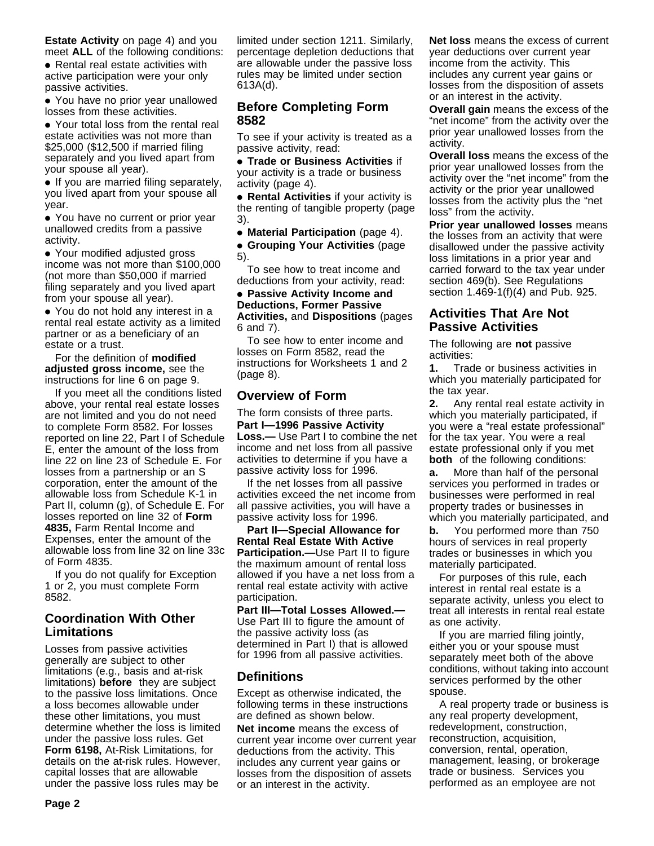**Estate Activity** on page 4) and you meet **ALL** of the following conditions:

• Rental real estate activities with active participation were your only passive activities.

• You have no prior year unallowed losses from these activities.

• Your total loss from the rental real estate activities was not more than \$25,000 (\$12,500 if married filing separately and you lived apart from your spouse all year).

• If you are married filing separately, you lived apart from your spouse all year.

• You have no current or prior year unallowed credits from a passive activity.

• Your modified adjusted gross income was not more than \$100,000 (not more than \$50,000 if married filing separately and you lived apart from your spouse all year).

• You do not hold any interest in a rental real estate activity as a limited partner or as a beneficiary of an estate or a trust.

For the definition of **modified adjusted gross income,** see the instructions for line 6 on page 9.

If you meet all the conditions listed above, your rental real estate losses are not limited and you do not need to complete Form 8582. For losses reported on line 22, Part I of Schedule E, enter the amount of the loss from line 22 on line 23 of Schedule E. For losses from a partnership or an S corporation, enter the amount of the allowable loss from Schedule K-1 in Part II, column (g), of Schedule E. For losses reported on line 32 of **Form 4835,** Farm Rental Income and Expenses, enter the amount of the allowable loss from line 32 on line 33c of Form 4835.

If you do not qualify for Exception 1 or 2, you must complete Form 8582.

## **Coordination With Other Limitations**

Losses from passive activities generally are subject to other limitations (e.g., basis and at-risk limitations) **before** they are subject to the passive loss limitations. Once a loss becomes allowable under these other limitations, you must determine whether the loss is limited under the passive loss rules. Get **Form 6198,** At-Risk Limitations, for details on the at-risk rules. However, capital losses that are allowable under the passive loss rules may be

limited under section 1211. Similarly, percentage depletion deductions that are allowable under the passive loss rules may be limited under section 613A(d).

## **Before Completing Form 8582**

To see if your activity is treated as a passive activity, read:

**• Trade or Business Activities if** your activity is a trade or business activity (page 4).

**• Rental Activities** if your activity is the renting of tangible property (page 3).

• **Material Participation** (page 4). **• Grouping Your Activities** (page 5).

To see how to treat income and deductions from your activity, read:

**• Passive Activity Income and Deductions, Former Passive Activities,** and **Dispositions** (pages 6 and 7).

To see how to enter income and losses on Form 8582, read the instructions for Worksheets 1 and 2 (page 8).

## **Overview of Form**

The form consists of three parts. **Part I—1996 Passive Activity Loss.—** Use Part I to combine the net income and net loss from all passive activities to determine if you have a passive activity loss for 1996.

If the net losses from all passive activities exceed the net income from all passive activities, you will have a passive activity loss for 1996.

**Part II—Special Allowance for Rental Real Estate With Active Participation.—**Use Part II to figure the maximum amount of rental loss allowed if you have a net loss from a rental real estate activity with active participation.

**Part III—Total Losses Allowed.—** Use Part III to figure the amount of the passive activity loss (as determined in Part I) that is allowed for 1996 from all passive activities.

## **Definitions**

Except as otherwise indicated, the following terms in these instructions are defined as shown below.

**Net income** means the excess of current year income over current year deductions from the activity. This includes any current year gains or losses from the disposition of assets or an interest in the activity.

**Net loss** means the excess of current year deductions over current year income from the activity. This includes any current year gains or losses from the disposition of assets or an interest in the activity.

**Overall gain** means the excess of the "net income" from the activity over the prior year unallowed losses from the activity.

**Overall loss** means the excess of the prior year unallowed losses from the activity over the "net income" from the activity or the prior year unallowed losses from the activity plus the "net loss" from the activity.

**Prior year unallowed losses** means the losses from an activity that were disallowed under the passive activity loss limitations in a prior year and carried forward to the tax year under section 469(b). See Regulations section 1.469-1(f)(4) and Pub. 925.

## **Activities That Are Not Passive Activities**

The following are **not** passive activities:

 **1.** Trade or business activities in which you materially participated for the tax year.

 **2.** Any rental real estate activity in which you materially participated, if you were a "real estate professional" for the tax year. You were a real estate professional only if you met **both** of the following conditions:

 **a.** More than half of the personal services you performed in trades or businesses were performed in real property trades or businesses in which you materially participated, and

**b.** You performed more than 750 hours of services in real property trades or businesses in which you materially participated.

For purposes of this rule, each interest in rental real estate is a separate activity, unless you elect to treat all interests in rental real estate as one activity.

If you are married filing jointly, either you or your spouse must separately meet both of the above conditions, without taking into account services performed by the other spouse.

A real property trade or business is any real property development, redevelopment, construction, reconstruction, acquisition, conversion, rental, operation, management, leasing, or brokerage trade or business. Services you performed as an employee are not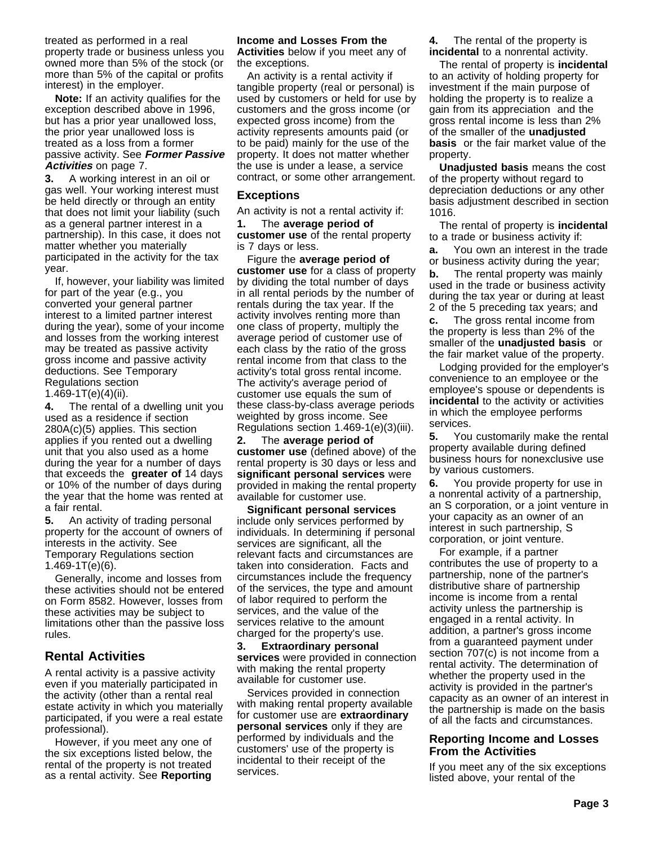treated as performed in a real property trade or business unless you owned more than 5% of the stock (or more than 5% of the capital or profits interest) in the employer.

**Note:** If an activity qualifies for the exception described above in 1996, but has a prior year unallowed loss, the prior year unallowed loss is treated as a loss from a former passive activity. See **Former Passive Activities** on page 7.

 **3.** A working interest in an oil or gas well. Your working interest must be held directly or through an entity that does not limit your liability (such as a general partner interest in a partnership). In this case, it does not matter whether you materially participated in the activity for the tax year.

If, however, your liability was limited for part of the year (e.g., you converted your general partner interest to a limited partner interest during the year), some of your income and losses from the working interest may be treated as passive activity gross income and passive activity deductions. See Temporary Regulations section 1.469-1T(e)(4)(ii).

 **4.** The rental of a dwelling unit you used as a residence if section 280A(c)(5) applies. This section applies if you rented out a dwelling unit that you also used as a home during the year for a number of days that exceeds the **greater of** 14 days or 10% of the number of days during the year that the home was rented at a fair rental.

 **5.** An activity of trading personal property for the account of owners of interests in the activity. See Temporary Regulations section 1.469-1T(e)(6).

Generally, income and losses from these activities should not be entered on Form 8582. However, losses from these activities may be subject to limitations other than the passive loss rules.

## **Rental Activities**

A rental activity is a passive activity even if you materially participated in the activity (other than a rental real estate activity in which you materially participated, if you were a real estate professional).

However, if you meet any one of the six exceptions listed below, the rental of the property is not treated as a rental activity. See **Reporting**

**Income and Losses From the Activities** below if you meet any of the exceptions.

An activity is a rental activity if tangible property (real or personal) is used by customers or held for use by customers and the gross income (or expected gross income) from the activity represents amounts paid (or to be paid) mainly for the use of the property. It does not matter whether the use is under a lease, a service contract, or some other arrangement.

#### **Exceptions**

An activity is not a rental activity if:  **1.** The **average period of**

**customer use** of the rental property is 7 days or less.

Figure the **average period of customer use** for a class of property by dividing the total number of days in all rental periods by the number of rentals during the tax year. If the activity involves renting more than one class of property, multiply the average period of customer use of each class by the ratio of the gross rental income from that class to the activity's total gross rental income. The activity's average period of customer use equals the sum of these class-by-class average periods weighted by gross income. See Regulations section 1.469-1(e)(3)(iii).

 **2.** The **average period of customer use** (defined above) of the rental property is 30 days or less and **significant personal services** were provided in making the rental property available for customer use.

**Significant personal services** include only services performed by individuals. In determining if personal services are significant, all the relevant facts and circumstances are taken into consideration. Facts and circumstances include the frequency of the services, the type and amount of labor required to perform the services, and the value of the services relative to the amount charged for the property's use.

 **3. Extraordinary personal services** were provided in connection with making the rental property available for customer use.

Services provided in connection with making rental property available for customer use are **extraordinary personal services** only if they are performed by individuals and the customers' use of the property is incidental to their receipt of the services.

 **4.** The rental of the property is **incidental** to a nonrental activity.

The rental of property is **incidental** to an activity of holding property for investment if the main purpose of holding the property is to realize a gain from its appreciation and the gross rental income is less than 2% of the smaller of the **unadjusted basis** or the fair market value of the property.

**Unadjusted basis** means the cost of the property without regard to depreciation deductions or any other basis adjustment described in section 1016.

The rental of property is **incidental** to a trade or business activity if:

 **a.** You own an interest in the trade or business activity during the year;

**b.** The rental property was mainly used in the trade or business activity during the tax year or during at least 2 of the 5 preceding tax years; and

 **c.** The gross rental income from the property is less than 2% of the smaller of the **unadjusted basis** or the fair market value of the property.

Lodging provided for the employer's convenience to an employee or the employee's spouse or dependents is **incidental** to the activity or activities in which the employee performs services.

 **5.** You customarily make the rental property available during defined business hours for nonexclusive use by various customers.

 **6.** You provide property for use in a nonrental activity of a partnership, an S corporation, or a joint venture in your capacity as an owner of an interest in such partnership, S corporation, or joint venture.

For example, if a partner contributes the use of property to a partnership, none of the partner's distributive share of partnership income is income from a rental activity unless the partnership is engaged in a rental activity. In addition, a partner's gross income from a guaranteed payment under section 707(c) is not income from a rental activity. The determination of whether the property used in the activity is provided in the partner's capacity as an owner of an interest in the partnership is made on the basis of all the facts and circumstances.

#### **Reporting Income and Losses From the Activities**

If you meet any of the six exceptions listed above, your rental of the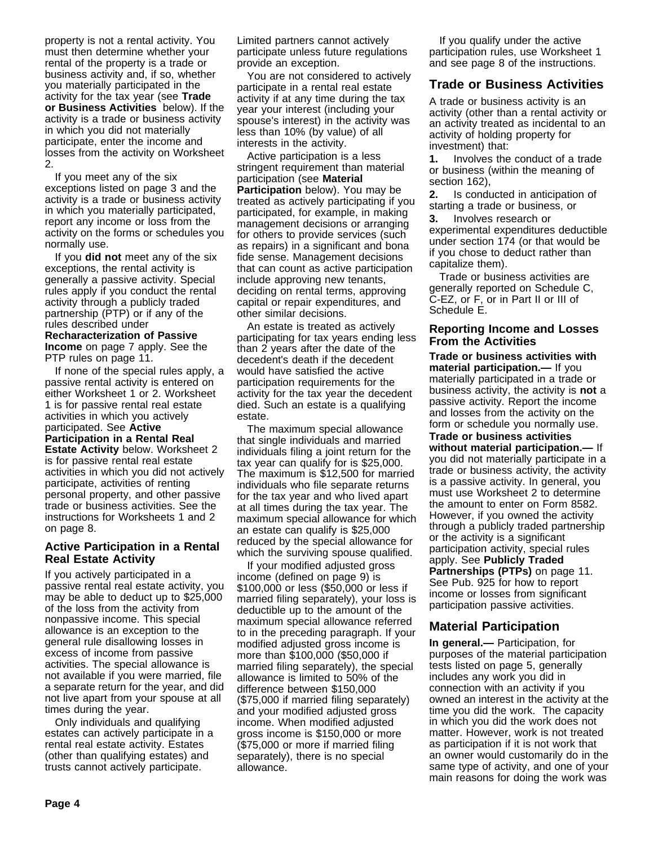property is not a rental activity. You must then determine whether your rental of the property is a trade or business activity and, if so, whether you materially participated in the activity for the tax year (see **Trade or Business Activities** below). If the activity is a trade or business activity in which you did not materially participate, enter the income and losses from the activity on Worksheet 2.

If you meet any of the six exceptions listed on page 3 and the activity is a trade or business activity in which you materially participated, report any income or loss from the activity on the forms or schedules you normally use.

If you **did not** meet any of the six exceptions, the rental activity is generally a passive activity. Special rules apply if you conduct the rental activity through a publicly traded partnership (PTP) or if any of the rules described under **Recharacterization of Passive**

**Income** on page 7 apply. See the PTP rules on page 11.

If none of the special rules apply, a passive rental activity is entered on either Worksheet 1 or 2. Worksheet 1 is for passive rental real estate activities in which you actively participated. See **Active Participation in a Rental Real Estate Activity** below. Worksheet 2 is for passive rental real estate activities in which you did not actively participate, activities of renting personal property, and other passive trade or business activities. See the instructions for Worksheets 1 and 2 on page 8.

#### **Active Participation in a Rental Real Estate Activity**

If you actively participated in a passive rental real estate activity, you may be able to deduct up to \$25,000 of the loss from the activity from nonpassive income. This special allowance is an exception to the general rule disallowing losses in excess of income from passive activities. The special allowance is not available if you were married, file a separate return for the year, and did not live apart from your spouse at all times during the year.

Only individuals and qualifying estates can actively participate in a rental real estate activity. Estates (other than qualifying estates) and trusts cannot actively participate.

Limited partners cannot actively participate unless future regulations provide an exception.

You are not considered to actively participate in a rental real estate activity if at any time during the tax year your interest (including your spouse's interest) in the activity was less than 10% (by value) of all interests in the activity.

Active participation is a less stringent requirement than material participation (see **Material Participation** below). You may be treated as actively participating if you participated, for example, in making management decisions or arranging for others to provide services (such as repairs) in a significant and bona fide sense. Management decisions that can count as active participation include approving new tenants, deciding on rental terms, approving capital or repair expenditures, and other similar decisions.

An estate is treated as actively participating for tax years ending less than 2 years after the date of the decedent's death if the decedent would have satisfied the active participation requirements for the activity for the tax year the decedent died. Such an estate is a qualifying estate.

The maximum special allowance that single individuals and married individuals filing a joint return for the tax year can qualify for is \$25,000. The maximum is \$12,500 for married individuals who file separate returns for the tax year and who lived apart at all times during the tax year. The maximum special allowance for which an estate can qualify is \$25,000 reduced by the special allowance for which the surviving spouse qualified.

If your modified adjusted gross income (defined on page 9) is \$100,000 or less (\$50,000 or less if married filing separately), your loss is deductible up to the amount of the maximum special allowance referred to in the preceding paragraph. If your modified adjusted gross income is more than \$100,000 (\$50,000 if married filing separately), the special allowance is limited to 50% of the difference between \$150,000 (\$75,000 if married filing separately) and your modified adjusted gross income. When modified adjusted gross income is \$150,000 or more (\$75,000 or more if married filing separately), there is no special allowance.

If you qualify under the active participation rules, use Worksheet 1 and see page 8 of the instructions.

## **Trade or Business Activities**

A trade or business activity is an activity (other than a rental activity or an activity treated as incidental to an activity of holding property for investment) that:

 **1.** Involves the conduct of a trade or business (within the meaning of section 162),

 **2.** Is conducted in anticipation of starting a trade or business, or

 **3.** Involves research or experimental expenditures deductible under section 174 (or that would be if you chose to deduct rather than capitalize them).

Trade or business activities are generally reported on Schedule C, C-EZ, or F, or in Part II or III of Schedule E.

#### **Reporting Income and Losses From the Activities**

**Trade or business activities with material participation.—** If you materially participated in a trade or business activity, the activity is **not** a passive activity. Report the income and losses from the activity on the form or schedule you normally use.

**Trade or business activities without material participation.—** If you did not materially participate in a trade or business activity, the activity is a passive activity. In general, you must use Worksheet 2 to determine the amount to enter on Form 8582. However, if you owned the activity through a publicly traded partnership or the activity is a significant participation activity, special rules apply. See **Publicly Traded Partnerships (PTPs)** on page 11. See Pub. 925 for how to report income or losses from significant participation passive activities.

## **Material Participation**

**In general.—** Participation, for purposes of the material participation tests listed on page 5, generally includes any work you did in connection with an activity if you owned an interest in the activity at the time you did the work. The capacity in which you did the work does not matter. However, work is not treated as participation if it is not work that an owner would customarily do in the same type of activity, and one of your main reasons for doing the work was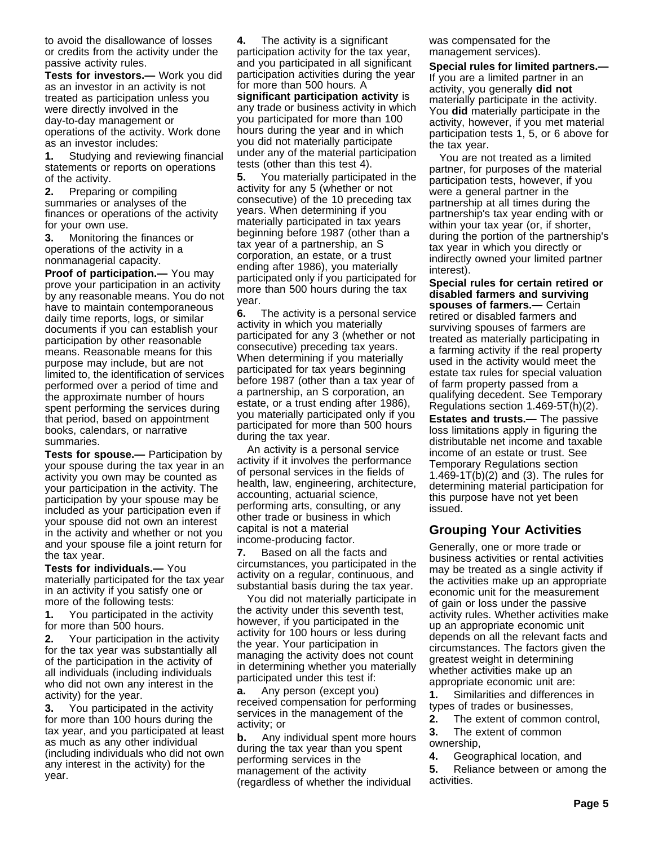to avoid the disallowance of losses or credits from the activity under the passive activity rules.

**Tests for investors.—** Work you did as an investor in an activity is not treated as participation unless you were directly involved in the day-to-day management or operations of the activity. Work done as an investor includes:

 **1.** Studying and reviewing financial statements or reports on operations of the activity.

 **2.** Preparing or compiling summaries or analyses of the finances or operations of the activity for your own use.

 **3.** Monitoring the finances or operations of the activity in a nonmanagerial capacity.

**Proof of participation.—** You may prove your participation in an activity by any reasonable means. You do not have to maintain contemporaneous daily time reports, logs, or similar documents if you can establish your participation by other reasonable means. Reasonable means for this purpose may include, but are not limited to, the identification of services performed over a period of time and the approximate number of hours spent performing the services during that period, based on appointment books, calendars, or narrative summaries.

**Tests for spouse.—** Participation by your spouse during the tax year in an activity you own may be counted as your participation in the activity. The participation by your spouse may be included as your participation even if your spouse did not own an interest in the activity and whether or not you and your spouse file a joint return for the tax year.

**Tests for individuals.—** You materially participated for the tax year in an activity if you satisfy one or more of the following tests:

 **1.** You participated in the activity for more than 500 hours.

 **2.** Your participation in the activity for the tax year was substantially all of the participation in the activity of all individuals (including individuals who did not own any interest in the activity) for the year.

 **3.** You participated in the activity for more than 100 hours during the tax year, and you participated at least as much as any other individual (including individuals who did not own any interest in the activity) for the year.

 **4.** The activity is a significant participation activity for the tax year, and you participated in all significant participation activities during the year for more than 500 hours. A **significant participation activity** is any trade or business activity in which you participated for more than 100 hours during the year and in which you did not materially participate under any of the material participation tests (other than this test 4).

 **5.** You materially participated in the activity for any 5 (whether or not consecutive) of the 10 preceding tax years. When determining if you materially participated in tax years beginning before 1987 (other than a tax year of a partnership, an S corporation, an estate, or a trust ending after 1986), you materially participated only if you participated for more than 500 hours during the tax year.

 **6.** The activity is a personal service activity in which you materially participated for any 3 (whether or not consecutive) preceding tax years. When determining if you materially participated for tax years beginning before 1987 (other than a tax year of a partnership, an S corporation, an estate, or a trust ending after 1986), you materially participated only if you participated for more than 500 hours during the tax year.

An activity is a personal service activity if it involves the performance of personal services in the fields of health, law, engineering, architecture, accounting, actuarial science, performing arts, consulting, or any other trade or business in which capital is not a material income-producing factor.

 **7.** Based on all the facts and circumstances, you participated in the activity on a regular, continuous, and substantial basis during the tax year.

You did not materially participate in the activity under this seventh test, however, if you participated in the activity for 100 hours or less during the year. Your participation in managing the activity does not count in determining whether you materially participated under this test if:

 **a.** Any person (except you) received compensation for performing services in the management of the activity; or

**b.** Any individual spent more hours during the tax year than you spent performing services in the management of the activity (regardless of whether the individual

was compensated for the management services).

**Special rules for limited partners.—** If you are a limited partner in an activity, you generally **did not** materially participate in the activity. You **did** materially participate in the activity, however, if you met material participation tests 1, 5, or 6 above for the tax year.

You are not treated as a limited partner, for purposes of the material participation tests, however, if you were a general partner in the partnership at all times during the partnership's tax year ending with or within your tax year (or, if shorter, during the portion of the partnership's tax year in which you directly or indirectly owned your limited partner interest).

**Special rules for certain retired or disabled farmers and surviving spouses of farmers.—** Certain retired or disabled farmers and surviving spouses of farmers are treated as materially participating in a farming activity if the real property used in the activity would meet the estate tax rules for special valuation of farm property passed from a qualifying decedent. See Temporary Regulations section 1.469-5T(h)(2).

**Estates and trusts.—** The passive loss limitations apply in figuring the distributable net income and taxable income of an estate or trust. See Temporary Regulations section 1.469-1T(b)(2) and (3). The rules for determining material participation for this purpose have not yet been issued.

#### **Grouping Your Activities**

Generally, one or more trade or business activities or rental activities may be treated as a single activity if the activities make up an appropriate economic unit for the measurement of gain or loss under the passive activity rules. Whether activities make up an appropriate economic unit depends on all the relevant facts and circumstances. The factors given the greatest weight in determining whether activities make up an appropriate economic unit are:

 **1.** Similarities and differences in types of trades or businesses,

 **2.** The extent of common control,

 **3.** The extent of common ownership,

 **4.** Geographical location, and

 **5.** Reliance between or among the activities.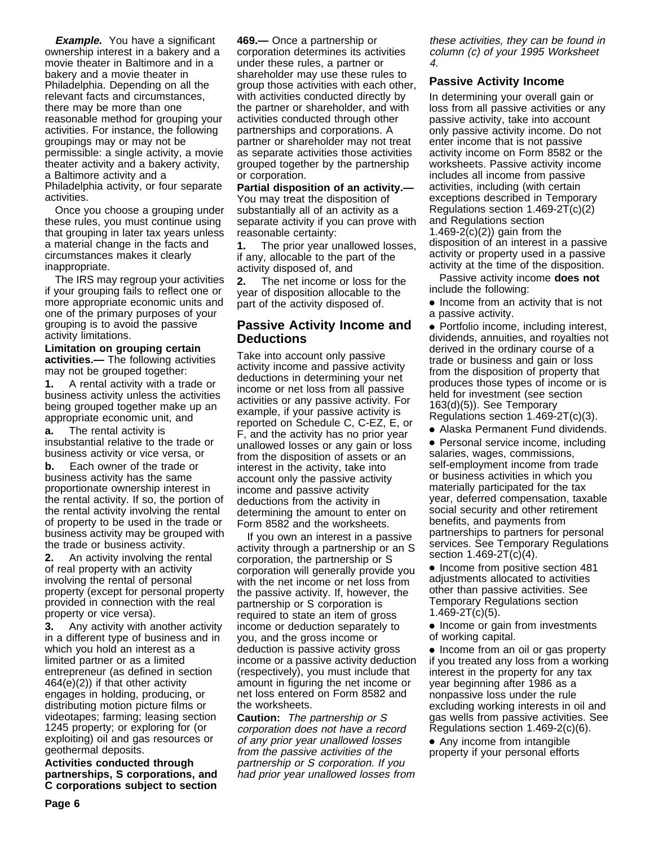**Example.** You have a significant ownership interest in a bakery and a movie theater in Baltimore and in a bakery and a movie theater in Philadelphia. Depending on all the relevant facts and circumstances, there may be more than one reasonable method for grouping your activities. For instance, the following groupings may or may not be permissible: a single activity, a movie theater activity and a bakery activity, a Baltimore activity and a Philadelphia activity, or four separate activities.

Once you choose a grouping under these rules, you must continue using that grouping in later tax years unless a material change in the facts and circumstances makes it clearly inappropriate.

The IRS may regroup your activities if your grouping fails to reflect one or more appropriate economic units and one of the primary purposes of your grouping is to avoid the passive activity limitations.

**Limitation on grouping certain activities.—** The following activities may not be grouped together:

 **1.** A rental activity with a trade or business activity unless the activities being grouped together make up an appropriate economic unit, and

 **a.** The rental activity is insubstantial relative to the trade or business activity or vice versa, or

**b.** Each owner of the trade or business activity has the same proportionate ownership interest in the rental activity. If so, the portion of the rental activity involving the rental of property to be used in the trade or business activity may be grouped with the trade or business activity.

**2.** An activity involving the rental of real property with an activity involving the rental of personal property (except for personal property provided in connection with the real property or vice versa).

 **3.** Any activity with another activity in a different type of business and in which you hold an interest as a limited partner or as a limited entrepreneur (as defined in section 464(e)(2)) if that other activity engages in holding, producing, or distributing motion picture films or videotapes; farming; leasing section 1245 property; or exploring for (or exploiting) oil and gas resources or geothermal deposits.

**Activities conducted through partnerships, S corporations, and C corporations subject to section**

**469.—** Once a partnership or corporation determines its activities under these rules, a partner or shareholder may use these rules to group those activities with each other, with activities conducted directly by the partner or shareholder, and with activities conducted through other partnerships and corporations. A partner or shareholder may not treat as separate activities those activities grouped together by the partnership or corporation.

**Partial disposition of an activity.—** You may treat the disposition of substantially all of an activity as a separate activity if you can prove with reasonable certainty:

 **1.** The prior year unallowed losses, if any, allocable to the part of the activity disposed of, and

The net income or loss for the year of disposition allocable to the part of the activity disposed of.

## **Passive Activity Income and Deductions**

Take into account only passive activity income and passive activity deductions in determining your net income or net loss from all passive activities or any passive activity. For example, if your passive activity is reported on Schedule C, C-EZ, E, or F, and the activity has no prior year unallowed losses or any gain or loss from the disposition of assets or an interest in the activity, take into account only the passive activity income and passive activity deductions from the activity in determining the amount to enter on Form 8582 and the worksheets.

If you own an interest in a passive activity through a partnership or an S corporation, the partnership or S corporation will generally provide you with the net income or net loss from the passive activity. If, however, the partnership or S corporation is required to state an item of gross income or deduction separately to you, and the gross income or deduction is passive activity gross income or a passive activity deduction (respectively), you must include that amount in figuring the net income or net loss entered on Form 8582 and the worksheets.

**Caution:** The partnership or S corporation does not have a record of any prior year unallowed losses from the passive activities of the partnership or S corporation. If you had prior year unallowed losses from these activities, they can be found in column (c) of your 1995 Worksheet 4.

## **Passive Activity Income**

In determining your overall gain or loss from all passive activities or any passive activity, take into account only passive activity income. Do not enter income that is not passive activity income on Form 8582 or the worksheets. Passive activity income includes all income from passive activities, including (with certain exceptions described in Temporary Regulations section 1.469-2T(c)(2) and Regulations section 1.469-2(c)(2)) gain from the disposition of an interest in a passive activity or property used in a passive activity at the time of the disposition.

Passive activity income **does not** include the following:

• Income from an activity that is not a passive activity.

• Portfolio income, including interest, dividends, annuities, and royalties not derived in the ordinary course of a trade or business and gain or loss from the disposition of property that produces those types of income or is held for investment (see section 163(d)(5)). See Temporary

Regulations section 1.469-2T(c)(3).

● Alaska Permanent Fund dividends.

• Personal service income, including salaries, wages, commissions, self-employment income from trade or business activities in which you materially participated for the tax year, deferred compensation, taxable social security and other retirement benefits, and payments from partnerships to partners for personal services. See Temporary Regulations section 1.469-2T(c)(4).

• Income from positive section 481 adjustments allocated to activities other than passive activities. See Temporary Regulations section 1.469-2T(c)(5).

• Income or gain from investments of working capital.

• Income from an oil or gas property if you treated any loss from a working interest in the property for any tax year beginning after 1986 as a nonpassive loss under the rule excluding working interests in oil and gas wells from passive activities. See Regulations section 1.469-2(c)(6).

• Any income from intangible property if your personal efforts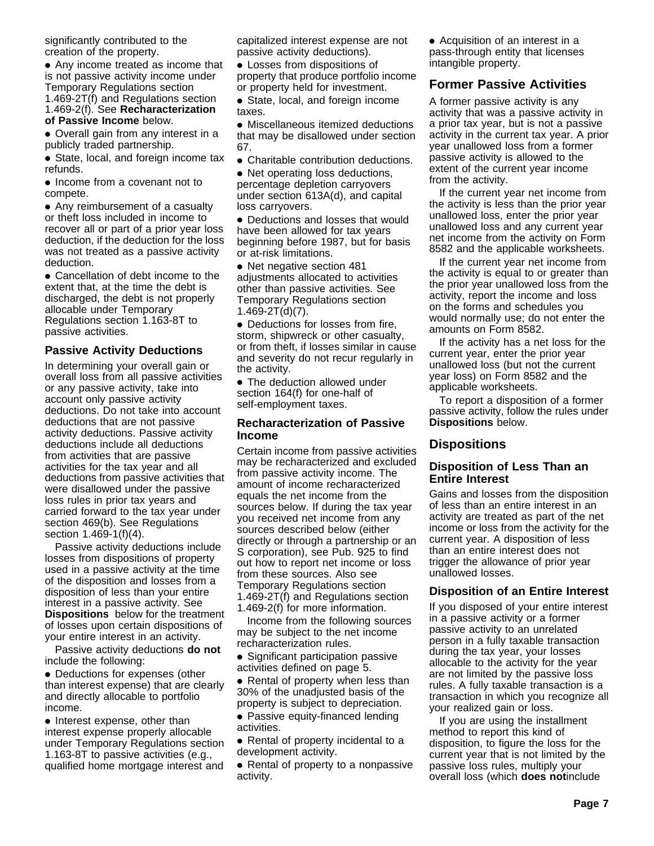significantly contributed to the creation of the property.

• Any income treated as income that is not passive activity income under Temporary Regulations section 1.469-2T(f) and Regulations section 1.469-2(f). See **Recharacterization of Passive Income** below.

• Overall gain from any interest in a publicly traded partnership.

• State, local, and foreign income tax refunds.

• Income from a covenant not to compete.

• Any reimbursement of a casualty or theft loss included in income to recover all or part of a prior year loss deduction, if the deduction for the loss was not treated as a passive activity deduction.

• Cancellation of debt income to the extent that, at the time the debt is discharged, the debt is not properly allocable under Temporary Regulations section 1.163-8T to passive activities.

#### **Passive Activity Deductions**

In determining your overall gain or overall loss from all passive activities or any passive activity, take into account only passive activity deductions. Do not take into account deductions that are not passive activity deductions. Passive activity deductions include all deductions from activities that are passive activities for the tax year and all deductions from passive activities that were disallowed under the passive loss rules in prior tax years and carried forward to the tax year under section 469(b). See Regulations section 1.469-1(f)(4).

Passive activity deductions include losses from dispositions of property used in a passive activity at the time of the disposition and losses from a disposition of less than your entire interest in a passive activity. See **Dispositions** below for the treatment of losses upon certain dispositions of your entire interest in an activity.

Passive activity deductions **do not** include the following:

• Deductions for expenses (other than interest expense) that are clearly and directly allocable to portfolio income.

• Interest expense, other than interest expense properly allocable under Temporary Regulations section 1.163-8T to passive activities (e.g., qualified home mortgage interest and

capitalized interest expense are not passive activity deductions).

• Losses from dispositions of property that produce portfolio income or property held for investment.

• State, local, and foreign income taxes.

• Miscellaneous itemized deductions that may be disallowed under section 67.

• Charitable contribution deductions.

• Net operating loss deductions, percentage depletion carryovers under section 613A(d), and capital loss carryovers.

• Deductions and losses that would have been allowed for tax years beginning before 1987, but for basis or at-risk limitations.

• Net negative section 481 adjustments allocated to activities other than passive activities. See Temporary Regulations section 1.469-2T(d)(7).

• Deductions for losses from fire, storm, shipwreck or other casualty, or from theft, if losses similar in cause and severity do not recur regularly in the activity.

• The deduction allowed under section 164(f) for one-half of self-employment taxes.

#### **Recharacterization of Passive Income**

Certain income from passive activities may be recharacterized and excluded from passive activity income. The amount of income recharacterized equals the net income from the sources below. If during the tax year you received net income from any sources described below (either directly or through a partnership or an S corporation), see Pub. 925 to find out how to report net income or loss from these sources. Also see Temporary Regulations section 1.469-2T(f) and Regulations section 1.469-2(f) for more information.

Income from the following sources may be subject to the net income recharacterization rules.

• Significant participation passive activities defined on page 5.

• Rental of property when less than 30% of the unadjusted basis of the property is subject to depreciation.

• Passive equity-financed lending activities.

• Rental of property incidental to a development activity.

• Rental of property to a nonpassive activity.

• Acquisition of an interest in a pass-through entity that licenses intangible property.

## **Former Passive Activities**

A former passive activity is any activity that was a passive activity in a prior tax year, but is not a passive activity in the current tax year. A prior year unallowed loss from a former passive activity is allowed to the extent of the current year income from the activity.

If the current year net income from the activity is less than the prior year unallowed loss, enter the prior year unallowed loss and any current year net income from the activity on Form 8582 and the applicable worksheets.

If the current year net income from the activity is equal to or greater than the prior year unallowed loss from the activity, report the income and loss on the forms and schedules you would normally use; do not enter the amounts on Form 8582.

If the activity has a net loss for the current year, enter the prior year unallowed loss (but not the current year loss) on Form 8582 and the applicable worksheets.

To report a disposition of a former passive activity, follow the rules under **Dispositions** below.

#### **Dispositions**

#### **Disposition of Less Than an Entire Interest**

Gains and losses from the disposition of less than an entire interest in an activity are treated as part of the net income or loss from the activity for the current year. A disposition of less than an entire interest does not trigger the allowance of prior year unallowed losses.

#### **Disposition of an Entire Interest**

If you disposed of your entire interest in a passive activity or a former passive activity to an unrelated person in a fully taxable transaction during the tax year, your losses allocable to the activity for the year are not limited by the passive loss rules. A fully taxable transaction is a transaction in which you recognize all your realized gain or loss.

If you are using the installment method to report this kind of disposition, to figure the loss for the current year that is not limited by the passive loss rules, multiply your overall loss (which **does not**include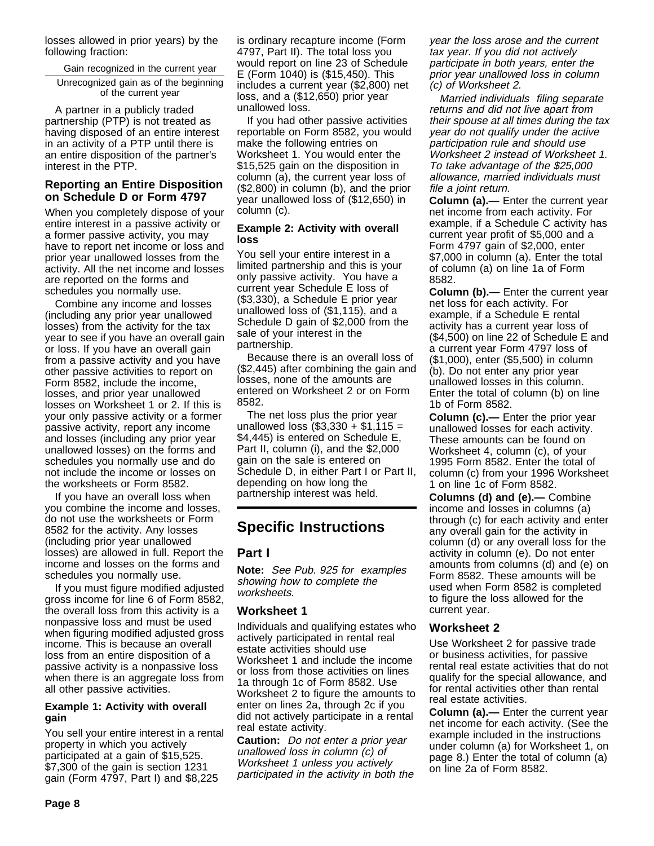losses allowed in prior years) by the following fraction:

Gain recognized in the current year

Unrecognized gain as of the beginning of the current year

A partner in a publicly traded partnership (PTP) is not treated as having disposed of an entire interest in an activity of a PTP until there is an entire disposition of the partner's interest in the PTP.

#### **Reporting an Entire Disposition on Schedule D or Form 4797**

When you completely dispose of your entire interest in a passive activity or a former passive activity, you may have to report net income or loss and prior year unallowed losses from the activity. All the net income and losses are reported on the forms and schedules you normally use.

Combine any income and losses (including any prior year unallowed losses) from the activity for the tax year to see if you have an overall gain or loss. If you have an overall gain from a passive activity and you have other passive activities to report on Form 8582, include the income, losses, and prior year unallowed losses on Worksheet 1 or 2. If this is your only passive activity or a former passive activity, report any income and losses (including any prior year unallowed losses) on the forms and schedules you normally use and do not include the income or losses on the worksheets or Form 8582.

If you have an overall loss when you combine the income and losses, do not use the worksheets or Form 8582 for the activity. Any losses (including prior year unallowed losses) are allowed in full. Report the income and losses on the forms and schedules you normally use.

If you must figure modified adjusted gross income for line 6 of Form 8582, the overall loss from this activity is a nonpassive loss and must be used when figuring modified adjusted gross income. This is because an overall loss from an entire disposition of a passive activity is a nonpassive loss when there is an aggregate loss from all other passive activities.

#### **Example 1: Activity with overall gain**

You sell your entire interest in a rental property in which you actively participated at a gain of \$15,525. \$7,300 of the gain is section 1231 gain (Form 4797, Part I) and \$8,225

is ordinary recapture income (Form 4797, Part II). The total loss you would report on line 23 of Schedule E (Form 1040) is (\$15,450). This includes a current year (\$2,800) net loss, and a (\$12,650) prior year unallowed loss.

If you had other passive activities reportable on Form 8582, you would make the following entries on Worksheet 1. You would enter the \$15,525 gain on the disposition in column (a), the current year loss of (\$2,800) in column (b), and the prior year unallowed loss of (\$12,650) in column (c).

#### **Example 2: Activity with overall loss**

You sell your entire interest in a limited partnership and this is your only passive activity. You have a current year Schedule E loss of (\$3,330), a Schedule E prior year unallowed loss of (\$1,115), and a Schedule D gain of \$2,000 from the sale of your interest in the partnership.

Because there is an overall loss of (\$2,445) after combining the gain and losses, none of the amounts are entered on Worksheet 2 or on Form 8582.

The net loss plus the prior year unallowed loss  $(\$3,330 + \$1,115 =$ \$4,445) is entered on Schedule E, Part II, column (i), and the \$2,000 gain on the sale is entered on Schedule D, in either Part I or Part II, depending on how long the partnership interest was held.

# **Specific Instructions**

## **Part I**

**Note:** See Pub. 925 for examples showing how to complete the worksheets.

## **Worksheet 1**

Individuals and qualifying estates who actively participated in rental real estate activities should use Worksheet 1 and include the income or loss from those activities on lines 1a through 1c of Form 8582. Use Worksheet 2 to figure the amounts to enter on lines 2a, through 2c if you did not actively participate in a rental real estate activity.

**Caution:** Do not enter a prior year unallowed loss in column (c) of Worksheet 1 unless you actively participated in the activity in both the year the loss arose and the current tax year. If you did not actively participate in both years, enter the prior year unallowed loss in column (c) of Worksheet 2.

Married individuals filing separate returns and did not live apart from their spouse at all times during the tax year do not qualify under the active participation rule and should use Worksheet 2 instead of Worksheet 1. To take advantage of the \$25,000 allowance, married individuals must file a joint return.

**Column (a).—** Enter the current year net income from each activity. For example, if a Schedule C activity has current year profit of \$5,000 and a Form 4797 gain of \$2,000, enter \$7,000 in column (a). Enter the total of column (a) on line 1a of Form 8582.

**Column (b).—** Enter the current year net loss for each activity. For example, if a Schedule E rental activity has a current year loss of (\$4,500) on line 22 of Schedule E and a current year Form 4797 loss of (\$1,000), enter (\$5,500) in column (b). Do not enter any prior year unallowed losses in this column. Enter the total of column (b) on line 1b of Form 8582.

**Column (c).—** Enter the prior year unallowed losses for each activity. These amounts can be found on Worksheet 4, column (c), of your 1995 Form 8582. Enter the total of column (c) from your 1996 Worksheet 1 on line 1c of Form 8582.

**Columns (d) and (e).—** Combine income and losses in columns (a) through (c) for each activity and enter any overall gain for the activity in column (d) or any overall loss for the activity in column (e). Do not enter amounts from columns (d) and (e) on Form 8582. These amounts will be used when Form 8582 is completed to figure the loss allowed for the current year.

## **Worksheet 2**

Use Worksheet 2 for passive trade or business activities, for passive rental real estate activities that do not qualify for the special allowance, and for rental activities other than rental real estate activities.

**Column (a).—** Enter the current year net income for each activity. (See the example included in the instructions under column (a) for Worksheet 1, on page 8.) Enter the total of column (a) on line 2a of Form 8582.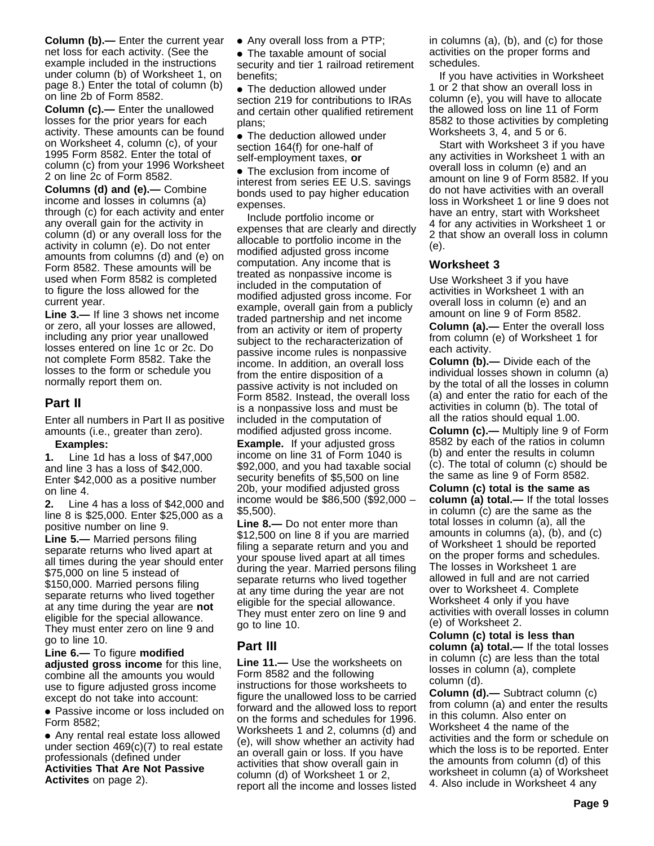**Column (b).—** Enter the current year net loss for each activity. (See the example included in the instructions under column (b) of Worksheet 1, on page 8.) Enter the total of column (b) on line 2b of Form 8582.

**Column (c).—** Enter the unallowed losses for the prior years for each activity. These amounts can be found on Worksheet 4, column (c), of your 1995 Form 8582. Enter the total of column (c) from your 1996 Worksheet 2 on line 2c of Form 8582.

**Columns (d) and (e).—** Combine income and losses in columns (a) through (c) for each activity and enter any overall gain for the activity in column (d) or any overall loss for the activity in column (e). Do not enter amounts from columns (d) and (e) on Form 8582. These amounts will be used when Form 8582 is completed to figure the loss allowed for the current year.

**Line 3.—** If line 3 shows net income or zero, all your losses are allowed, including any prior year unallowed losses entered on line 1c or 2c. Do not complete Form 8582. Take the losses to the form or schedule you normally report them on.

## **Part II**

Enter all numbers in Part II as positive amounts (i.e., greater than zero).

#### **Examples:**

 **1.** Line 1d has a loss of \$47,000 and line 3 has a loss of \$42,000. Enter \$42,000 as a positive number on line 4.

 **2.** Line 4 has a loss of \$42,000 and line 8 is \$25,000. Enter \$25,000 as a positive number on line 9.

**Line 5.—** Married persons filing separate returns who lived apart at all times during the year should enter \$75,000 on line 5 instead of \$150,000. Married persons filing separate returns who lived together at any time during the year are **not** eligible for the special allowance. They must enter zero on line 9 and go to line 10.

**Line 6.—** To figure **modified adjusted gross income** for this line, combine all the amounts you would use to figure adjusted gross income except do not take into account:

• Passive income or loss included on Form 8582;

• Any rental real estate loss allowed under section 469(c)(7) to real estate professionals (defined under **Activities That Are Not Passive Activites** on page 2).

• Any overall loss from a PTP;

• The taxable amount of social security and tier 1 railroad retirement benefits;

• The deduction allowed under section 219 for contributions to IRAs and certain other qualified retirement plans;

• The deduction allowed under section 164(f) for one-half of self-employment taxes, **or** 

• The exclusion from income of interest from series EE U.S. savings bonds used to pay higher education expenses.

Include portfolio income or expenses that are clearly and directly allocable to portfolio income in the modified adjusted gross income computation. Any income that is treated as nonpassive income is included in the computation of modified adjusted gross income. For example, overall gain from a publicly traded partnership and net income from an activity or item of property subject to the recharacterization of passive income rules is nonpassive income. In addition, an overall loss from the entire disposition of a passive activity is not included on Form 8582. Instead, the overall loss is a nonpassive loss and must be included in the computation of modified adjusted gross income.

**Example.** If your adjusted gross income on line 31 of Form 1040 is \$92,000, and you had taxable social security benefits of \$5,500 on line 20b, your modified adjusted gross income would be \$86,500 (\$92,000 – \$5,500).

**Line 8.—** Do not enter more than \$12,500 on line 8 if you are married filing a separate return and you and your spouse lived apart at all times during the year. Married persons filing separate returns who lived together at any time during the year are not eligible for the special allowance. They must enter zero on line 9 and go to line 10.

## **Part III**

**Line 11.—** Use the worksheets on Form 8582 and the following instructions for those worksheets to figure the unallowed loss to be carried forward and the allowed loss to report on the forms and schedules for 1996. Worksheets 1 and 2, columns (d) and (e), will show whether an activity had an overall gain or loss. If you have activities that show overall gain in column (d) of Worksheet 1 or 2, report all the income and losses listed in columns (a), (b), and (c) for those activities on the proper forms and schedules.

If you have activities in Worksheet 1 or 2 that show an overall loss in column (e), you will have to allocate the allowed loss on line 11 of Form 8582 to those activities by completing Worksheets 3, 4, and 5 or 6.

Start with Worksheet 3 if you have any activities in Worksheet 1 with an overall loss in column (e) and an amount on line 9 of Form 8582. If you do not have activities with an overall loss in Worksheet 1 or line 9 does not have an entry, start with Worksheet 4 for any activities in Worksheet 1 or 2 that show an overall loss in column (e).

## **Worksheet 3**

Use Worksheet 3 if you have activities in Worksheet 1 with an overall loss in column (e) and an amount on line 9 of Form 8582.

**Column (a).—** Enter the overall loss from column (e) of Worksheet 1 for each activity.

**Column (b).—** Divide each of the individual losses shown in column (a) by the total of all the losses in column (a) and enter the ratio for each of the activities in column (b). The total of all the ratios should equal 1.00.

**Column (c).—** Multiply line 9 of Form 8582 by each of the ratios in column (b) and enter the results in column (c). The total of column (c) should be the same as line 9 of Form 8582.

**Column (c) total is the same as column (a) total.—** If the total losses in column (c) are the same as the total losses in column (a), all the amounts in columns (a), (b), and (c) of Worksheet 1 should be reported on the proper forms and schedules. The losses in Worksheet 1 are allowed in full and are not carried over to Worksheet 4. Complete Worksheet 4 only if you have activities with overall losses in column (e) of Worksheet 2.

**Column (c) total is less than column (a) total.—** If the total losses in column (c) are less than the total losses in column (a), complete column (d).

**Column (d).—** Subtract column (c) from column (a) and enter the results in this column. Also enter on Worksheet 4 the name of the activities and the form or schedule on which the loss is to be reported. Enter the amounts from column (d) of this worksheet in column (a) of Worksheet 4. Also include in Worksheet 4 any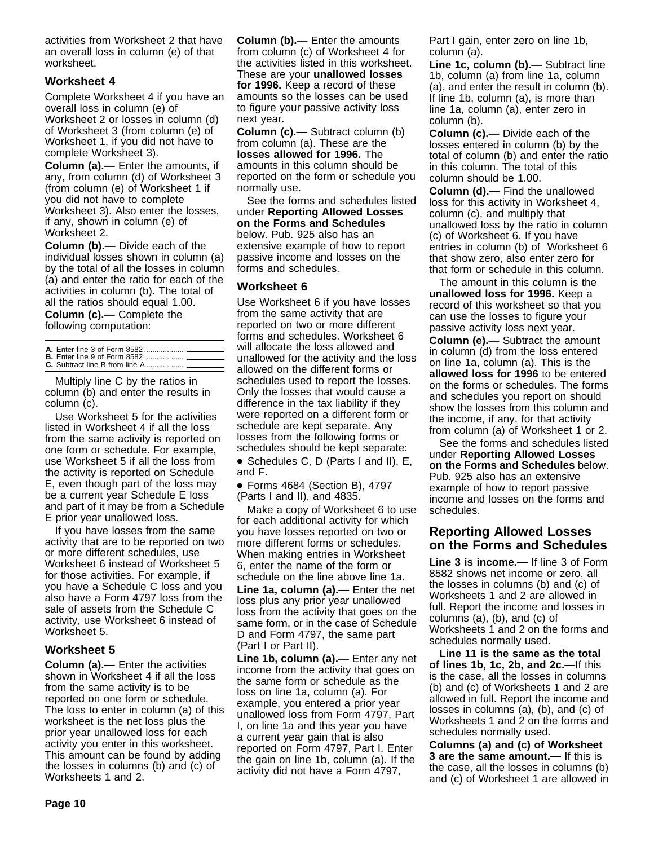activities from Worksheet 2 that have an overall loss in column (e) of that worksheet.

#### **Worksheet 4**

Complete Worksheet 4 if you have an overall loss in column (e) of Worksheet 2 or losses in column (d) of Worksheet 3 (from column (e) of Worksheet 1, if you did not have to complete Worksheet 3).

**Column (a).—** Enter the amounts, if any, from column (d) of Worksheet 3 (from column (e) of Worksheet 1 if you did not have to complete Worksheet 3). Also enter the losses, if any, shown in column (e) of Worksheet 2.

**Column (b).—** Divide each of the individual losses shown in column (a) by the total of all the losses in column (a) and enter the ratio for each of the activities in column (b). The total of all the ratios should equal 1.00. **Column (c).—** Complete the

following computation: **A.** Enter line 3 of Form 8582 ................... **B.** Enter line 9 of Form 8582 ...................

**C.** Subtract line B from line A ..................

Multiply line C by the ratios in column (b) and enter the results in column (c).

Use Worksheet 5 for the activities listed in Worksheet 4 if all the loss from the same activity is reported on one form or schedule. For example, use Worksheet 5 if all the loss from the activity is reported on Schedule E, even though part of the loss may be a current year Schedule E loss and part of it may be from a Schedule E prior year unallowed loss.

If you have losses from the same activity that are to be reported on two or more different schedules, use Worksheet 6 instead of Worksheet 5 for those activities. For example, if you have a Schedule C loss and you also have a Form 4797 loss from the sale of assets from the Schedule C activity, use Worksheet 6 instead of Worksheet 5.

#### **Worksheet 5**

**Column (a).—** Enter the activities shown in Worksheet 4 if all the loss from the same activity is to be reported on one form or schedule. The loss to enter in column (a) of this worksheet is the net loss plus the prior year unallowed loss for each activity you enter in this worksheet. This amount can be found by adding the losses in columns (b) and (c) of Worksheets 1 and 2.

**Column (b).—** Enter the amounts from column (c) of Worksheet 4 for the activities listed in this worksheet. These are your **unallowed losses for 1996.** Keep a record of these amounts so the losses can be used to figure your passive activity loss next year.

**Column (c).—** Subtract column (b) from column (a). These are the **losses allowed for 1996.** The amounts in this column should be reported on the form or schedule you normally use.

See the forms and schedules listed under **Reporting Allowed Losses on the Forms and Schedules**  below. Pub. 925 also has an extensive example of how to report passive income and losses on the forms and schedules.

#### **Worksheet 6**

Use Worksheet 6 if you have losses from the same activity that are reported on two or more different forms and schedules. Worksheet 6 will allocate the loss allowed and unallowed for the activity and the loss allowed on the different forms or schedules used to report the losses. Only the losses that would cause a difference in the tax liability if they were reported on a different form or schedule are kept separate. Any losses from the following forms or schedules should be kept separate: • Schedules C, D (Parts I and II), E,

and F.

 $\bullet$  Forms 4684 (Section B), 4797 (Parts I and II), and 4835.

Make a copy of Worksheet 6 to use for each additional activity for which you have losses reported on two or more different forms or schedules. When making entries in Worksheet 6, enter the name of the form or schedule on the line above line 1a. **Line 1a, column (a).—** Enter the net loss plus any prior year unallowed loss from the activity that goes on the same form, or in the case of Schedule D and Form 4797, the same part (Part I or Part II).

**Line 1b, column (a).—** Enter any net income from the activity that goes on the same form or schedule as the loss on line 1a, column (a). For example, you entered a prior year unallowed loss from Form 4797, Part I, on line 1a and this year you have a current year gain that is also reported on Form 4797, Part I. Enter the gain on line 1b, column (a). If the activity did not have a Form 4797,

Part I gain, enter zero on line 1b, column (a).

**Line 1c, column (b).—** Subtract line 1b, column (a) from line 1a, column (a), and enter the result in column (b). If line 1b, column (a), is more than line 1a, column (a), enter zero in column (b).

**Column (c).—** Divide each of the losses entered in column (b) by the total of column (b) and enter the ratio in this column. The total of this column should be 1.00.

**Column (d).—** Find the unallowed loss for this activity in Worksheet 4, column (c), and multiply that unallowed loss by the ratio in column (c) of Worksheet 6. If you have entries in column (b) of Worksheet 6 that show zero, also enter zero for that form or schedule in this column.

The amount in this column is the **unallowed loss for 1996.** Keep a record of this worksheet so that you can use the losses to figure your passive activity loss next year. **Column (e).—** Subtract the amount in column (d) from the loss entered on line 1a, column (a). This is the **allowed loss for 1996** to be entered on the forms or schedules. The forms and schedules you report on should show the losses from this column and the income, if any, for that activity from column (a) of Worksheet 1 or 2.

See the forms and schedules listed under **Reporting Allowed Losses on the Forms and Schedules** below. Pub. 925 also has an extensive example of how to report passive income and losses on the forms and schedules.

#### **Reporting Allowed Losses on the Forms and Schedules**

**Line 3 is income.—** If line 3 of Form 8582 shows net income or zero, all the losses in columns (b) and (c) of Worksheets 1 and 2 are allowed in full. Report the income and losses in columns (a), (b), and (c) of Worksheets 1 and 2 on the forms and schedules normally used.

**Line 11 is the same as the total of lines 1b, 1c, 2b, and 2c.—**If this is the case, all the losses in columns (b) and (c) of Worksheets 1 and 2 are allowed in full. Report the income and losses in columns (a), (b), and (c) of Worksheets 1 and 2 on the forms and schedules normally used.

**Columns (a) and (c) of Worksheet 3 are the same amount.—** If this is the case, all the losses in columns (b) and (c) of Worksheet 1 are allowed in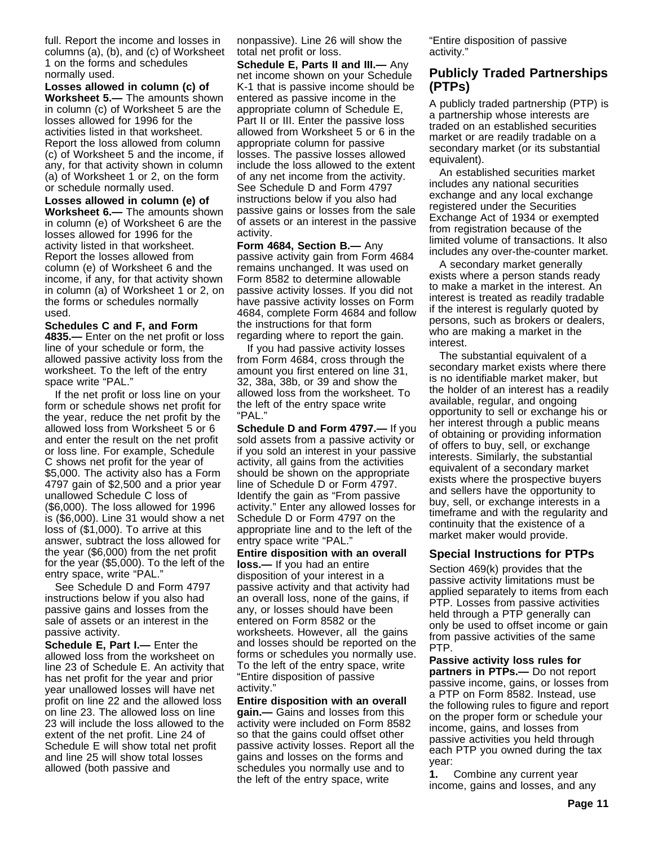full. Report the income and losses in columns (a), (b), and (c) of Worksheet 1 on the forms and schedules normally used.

**Losses allowed in column (c) of Worksheet 5.—** The amounts shown in column (c) of Worksheet 5 are the losses allowed for 1996 for the activities listed in that worksheet. Report the loss allowed from column (c) of Worksheet 5 and the income, if any, for that activity shown in column (a) of Worksheet 1 or 2, on the form or schedule normally used.

**Losses allowed in column (e) of Worksheet 6.—** The amounts shown in column (e) of Worksheet 6 are the losses allowed for 1996 for the activity listed in that worksheet. Report the losses allowed from column (e) of Worksheet 6 and the income, if any, for that activity shown in column (a) of Worksheet 1 or 2, on the forms or schedules normally used.

**Schedules C and F, and Form 4835.—** Enter on the net profit or loss line of your schedule or form, the allowed passive activity loss from the worksheet. To the left of the entry space write "PAL."

If the net profit or loss line on your form or schedule shows net profit for the year, reduce the net profit by the allowed loss from Worksheet 5 or 6 and enter the result on the net profit or loss line. For example, Schedule C shows net profit for the year of \$5,000. The activity also has a Form 4797 gain of \$2,500 and a prior year unallowed Schedule C loss of (\$6,000). The loss allowed for 1996 is (\$6,000). Line 31 would show a net loss of (\$1,000). To arrive at this answer, subtract the loss allowed for the year (\$6,000) from the net profit for the year (\$5,000). To the left of the entry space, write "PAL."

See Schedule D and Form 4797 instructions below if you also had passive gains and losses from the sale of assets or an interest in the passive activity.

**Schedule E, Part I.—** Enter the allowed loss from the worksheet on line 23 of Schedule E. An activity that has net profit for the year and prior year unallowed losses will have net profit on line 22 and the allowed loss on line 23. The allowed loss on line 23 will include the loss allowed to the extent of the net profit. Line 24 of Schedule E will show total net profit and line 25 will show total losses allowed (both passive and

nonpassive). Line 26 will show the total net profit or loss.

**Schedule E, Parts II and III.—** Any net income shown on your Schedule K-1 that is passive income should be entered as passive income in the appropriate column of Schedule E, Part II or III. Enter the passive loss allowed from Worksheet 5 or 6 in the appropriate column for passive losses. The passive losses allowed include the loss allowed to the extent of any net income from the activity. See Schedule D and Form 4797 instructions below if you also had passive gains or losses from the sale of assets or an interest in the passive activity.

**Form 4684, Section B.—** Any passive activity gain from Form 4684 remains unchanged. It was used on Form 8582 to determine allowable passive activity losses. If you did not have passive activity losses on Form 4684, complete Form 4684 and follow the instructions for that form regarding where to report the gain.

If you had passive activity losses from Form 4684, cross through the amount you first entered on line 31, 32, 38a, 38b, or 39 and show the allowed loss from the worksheet. To the left of the entry space write "PAL."

**Schedule D and Form 4797.—** If you sold assets from a passive activity or if you sold an interest in your passive activity, all gains from the activities should be shown on the appropriate line of Schedule D or Form 4797. Identify the gain as "From passive activity." Enter any allowed losses for Schedule D or Form 4797 on the appropriate line and to the left of the entry space write "PAL."

**Entire disposition with an overall loss.—** If you had an entire disposition of your interest in a passive activity and that activity had an overall loss, none of the gains, if any, or losses should have been entered on Form 8582 or the worksheets. However, all the gains and losses should be reported on the forms or schedules you normally use. To the left of the entry space, write "Entire disposition of passive activity."

**Entire disposition with an overall gain.—** Gains and losses from this activity were included on Form 8582 so that the gains could offset other passive activity losses. Report all the gains and losses on the forms and schedules you normally use and to the left of the entry space, write

"Entire disposition of passive activity."

## **Publicly Traded Partnerships (PTPs)**

A publicly traded partnership (PTP) is a partnership whose interests are traded on an established securities market or are readily tradable on a secondary market (or its substantial equivalent).

An established securities market includes any national securities exchange and any local exchange registered under the Securities Exchange Act of 1934 or exempted from registration because of the limited volume of transactions. It also includes any over-the-counter market.

A secondary market generally exists where a person stands ready to make a market in the interest. An interest is treated as readily tradable if the interest is regularly quoted by persons, such as brokers or dealers, who are making a market in the interest.

The substantial equivalent of a secondary market exists where there is no identifiable market maker, but the holder of an interest has a readily available, regular, and ongoing opportunity to sell or exchange his or her interest through a public means of obtaining or providing information of offers to buy, sell, or exchange interests. Similarly, the substantial equivalent of a secondary market exists where the prospective buyers and sellers have the opportunity to buy, sell, or exchange interests in a timeframe and with the regularity and continuity that the existence of a market maker would provide.

#### **Special Instructions for PTPs**

Section 469(k) provides that the passive activity limitations must be applied separately to items from each PTP. Losses from passive activities held through a PTP generally can only be used to offset income or gain from passive activities of the same PTP.

**Passive activity loss rules for partners in PTPs.—** Do not report passive income, gains, or losses from a PTP on Form 8582. Instead, use the following rules to figure and report on the proper form or schedule your income, gains, and losses from passive activities you held through each PTP you owned during the tax year:

 **1.** Combine any current year income, gains and losses, and any